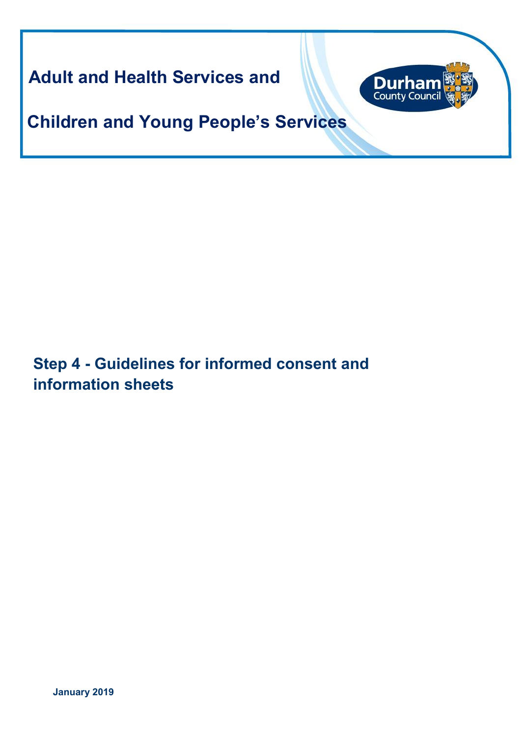**Adult and Health Services and** 



**Children and Young People's Services**

**Step 4 - Guidelines for informed consent and information sheets**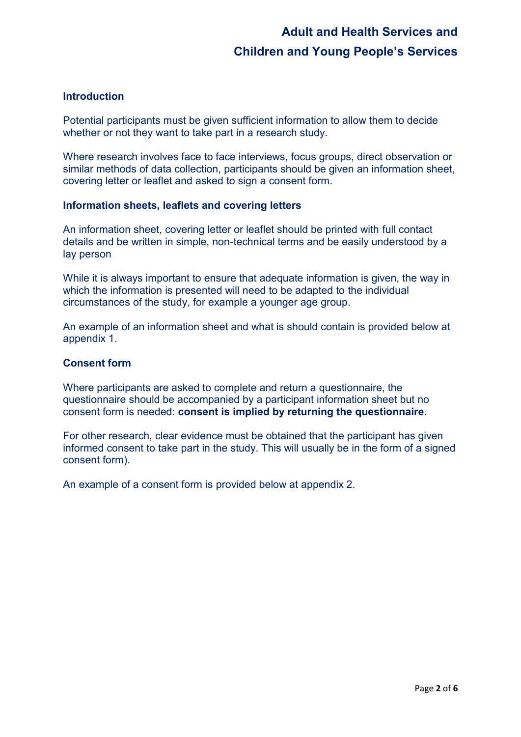## **Introduction**

Potential participants must be given sufficient information to allow them to decide whether or not they want to take part in a research study.

Where research involves face to face interviews, focus groups, direct observation or similar methods of data collection, participants should be given an information sheet, covering letter or leaflet and asked to sign a consent form.

### **Information sheets, leaflets and covering letters**

An information sheet, covering letter or leaflet should be printed with full contact details and be written in simple, non-technical terms and be easily understood by a lay person

While it is always important to ensure that adequate information is given, the way in which the information is presented will need to be adapted to the individual circumstances of the study, for example a younger age group.

An example of an information sheet and what is should contain is provided below at appendix 1.

### **Consent form**

Where participants are asked to complete and return a questionnaire, the questionnaire should be accompanied by a participant information sheet but no consent form is needed: **consent is implied by returning the questionnaire**.

For other research, clear evidence must be obtained that the participant has given informed consent to take part in the study. This will usually be in the form of a signed consent form).

An example of a consent form is provided below at appendix 2.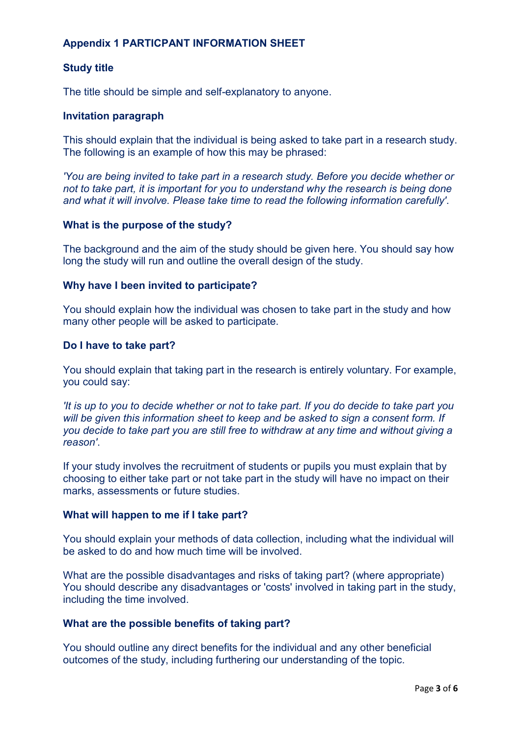## **Appendix 1 PARTICPANT INFORMATION SHEET**

## **Study title**

The title should be simple and self-explanatory to anyone.

### **Invitation paragraph**

This should explain that the individual is being asked to take part in a research study. The following is an example of how this may be phrased:

*'You are being invited to take part in a research study. Before you decide whether or not to take part, it is important for you to understand why the research is being done and what it will involve. Please take time to read the following information carefully'*.

### **What is the purpose of the study?**

The background and the aim of the study should be given here. You should say how long the study will run and outline the overall design of the study.

### **Why have I been invited to participate?**

You should explain how the individual was chosen to take part in the study and how many other people will be asked to participate.

#### **Do I have to take part?**

You should explain that taking part in the research is entirely voluntary. For example, you could say:

*'It is up to you to decide whether or not to take part. If you do decide to take part you will be given this information sheet to keep and be asked to sign a consent form. If you decide to take part you are still free to withdraw at any time and without giving a reason'*.

If your study involves the recruitment of students or pupils you must explain that by choosing to either take part or not take part in the study will have no impact on their marks, assessments or future studies.

### **What will happen to me if I take part?**

You should explain your methods of data collection, including what the individual will be asked to do and how much time will be involved.

What are the possible disadvantages and risks of taking part? (where appropriate) You should describe any disadvantages or 'costs' involved in taking part in the study, including the time involved.

### **What are the possible benefits of taking part?**

You should outline any direct benefits for the individual and any other beneficial outcomes of the study, including furthering our understanding of the topic.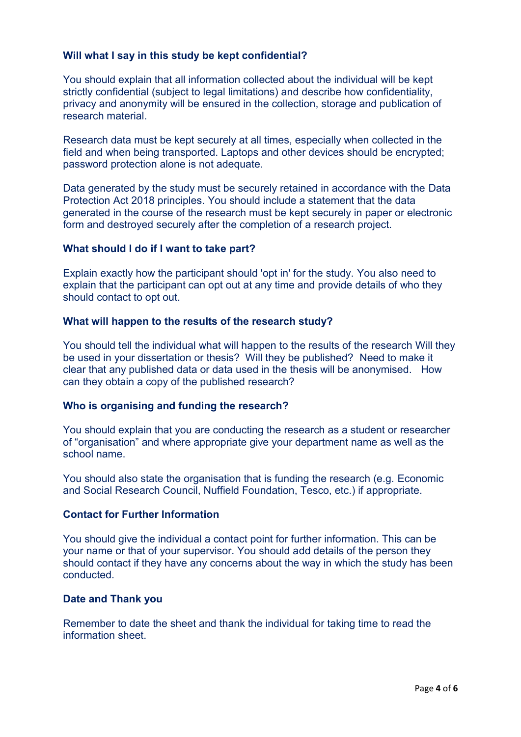## **Will what I say in this study be kept confidential?**

You should explain that all information collected about the individual will be kept strictly confidential (subject to legal limitations) and describe how confidentiality, privacy and anonymity will be ensured in the collection, storage and publication of research material.

Research data must be kept securely at all times, especially when collected in the field and when being transported. Laptops and other devices should be encrypted; password protection alone is not adequate.

Data generated by the study must be securely retained in accordance with the Data Protection Act 2018 principles. You should include a statement that the data generated in the course of the research must be kept securely in paper or electronic form and destroyed securely after the completion of a research project.

### **What should I do if I want to take part?**

Explain exactly how the participant should 'opt in' for the study. You also need to explain that the participant can opt out at any time and provide details of who they should contact to opt out.

### **What will happen to the results of the research study?**

You should tell the individual what will happen to the results of the research Will they be used in your dissertation or thesis? Will they be published? Need to make it clear that any published data or data used in the thesis will be anonymised. How can they obtain a copy of the published research?

### **Who is organising and funding the research?**

You should explain that you are conducting the research as a student or researcher of "organisation" and where appropriate give your department name as well as the school name.

You should also state the organisation that is funding the research (e.g. Economic and Social Research Council, Nuffield Foundation, Tesco, etc.) if appropriate.

## **Contact for Further Information**

You should give the individual a contact point for further information. This can be your name or that of your supervisor. You should add details of the person they should contact if they have any concerns about the way in which the study has been conducted.

### **Date and Thank you**

Remember to date the sheet and thank the individual for taking time to read the information sheet.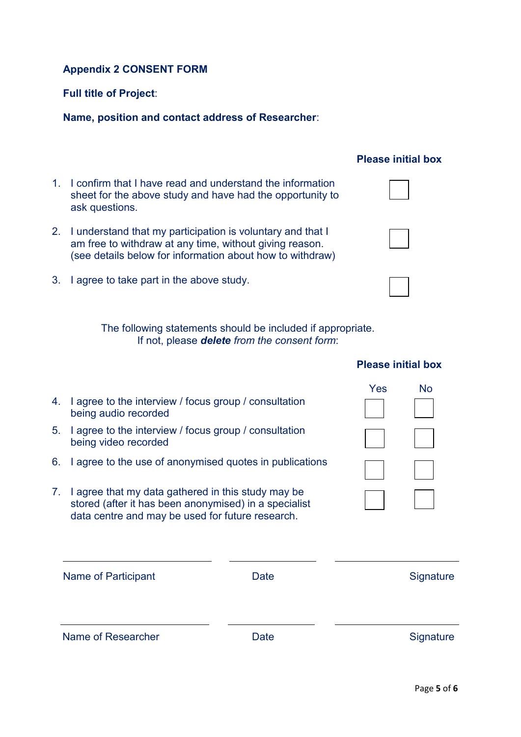## **Appendix 2 CONSENT FORM**

## **Full title of Project**:

## **Name, position and contact address of Researcher**:

- 1. I confirm that I have read and understand the information sheet for the above study and have had the opportunity to ask questions.
- 2. I understand that my participation is voluntary and that I am free to withdraw at any time, without giving reason. (see details below for information about how to withdraw)
- 3. I agree to take part in the above study.

The following statements should be included if appropriate. If not, please *delete from the consent form*:

|    |                                                                                                                                                                 |      | Yes | <b>No</b> |
|----|-----------------------------------------------------------------------------------------------------------------------------------------------------------------|------|-----|-----------|
| 4. | I agree to the interview / focus group / consultation<br>being audio recorded                                                                                   |      |     |           |
| 5. | I agree to the interview / focus group / consultation<br>being video recorded                                                                                   |      |     |           |
| 6. | I agree to the use of anonymised quotes in publications                                                                                                         |      |     |           |
| 7. | I agree that my data gathered in this study may be<br>stored (after it has been anonymised) in a specialist<br>data centre and may be used for future research. |      |     |           |
|    | Name of Participant                                                                                                                                             | Date |     | Signature |
|    | Name of Researcher                                                                                                                                              | Date |     | Signature |

# **Please initial box**





## **Please initial box**